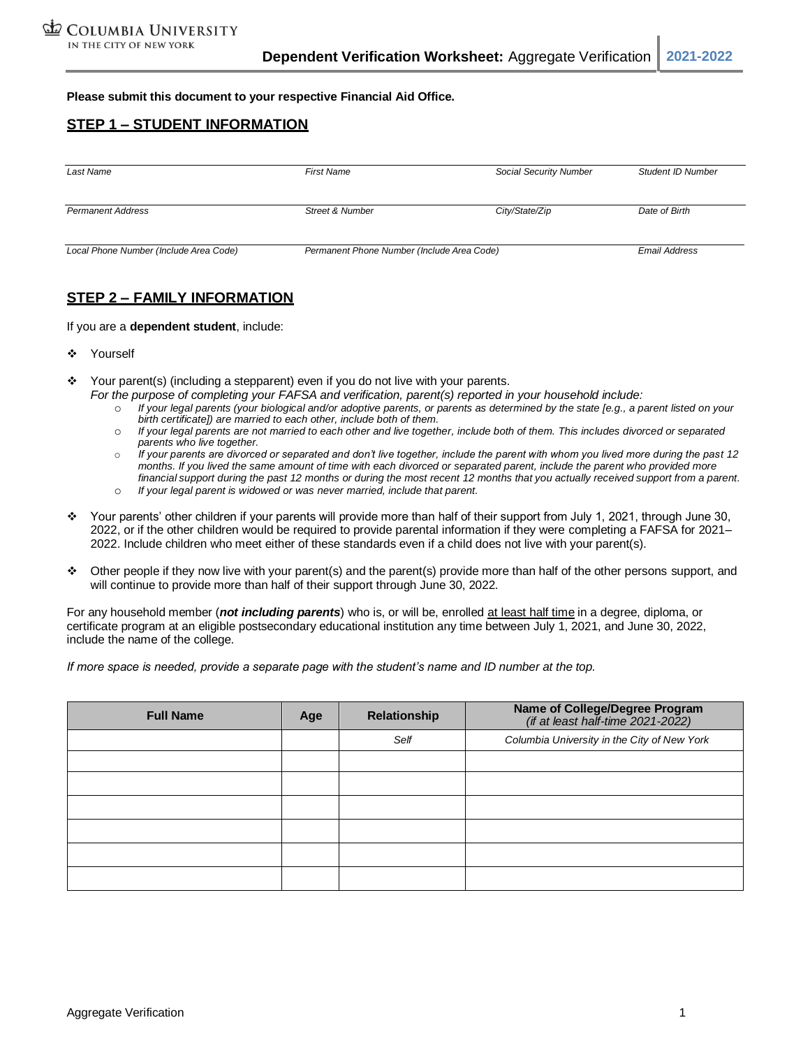**Please submit this document to your respective Financial Aid Office.**

## **STEP 1 – STUDENT INFORMATION**

| Last Name                              | <b>First Name</b>                          | Social Security Number | <b>Student ID Number</b> |
|----------------------------------------|--------------------------------------------|------------------------|--------------------------|
| <b>Permanent Address</b>               | <b>Street &amp; Number</b>                 | City/State/Zip         | Date of Birth            |
| Local Phone Number (Include Area Code) | Permanent Phone Number (Include Area Code) |                        | <b>Email Address</b>     |

## **STEP 2 – FAMILY INFORMATION**

If you are a **dependent student**, include:

- ❖ Yourself
- Your parent(s) (including a stepparent) even if you do not live with your parents.
	- *For the purpose of completing your FAFSA and verification, parent(s) reported in your household include:*
		- o *If your legal parents (your biological and/or adoptive parents, or parents as determined by the state [e.g., a parent listed on your birth certificate]) are married to each other, include both of them.*
		- o *If your legal parents are not married to each other and live together, include both of them. This includes divorced or separated parents who live together.*
		- o *If your parents are divorced or separated and don't live together, include the parent with whom you lived more during the past 12 months. If you lived the same amount of time with each divorced or separated parent, include the parent who provided more* financial support during the past 12 months or during the most recent 12 months that you actually received support from a parent.
		- o *If your legal parent is widowed or was never married, include that parent.*
- ❖ Your parents' other children if your parents will provide more than half of their support from July 1, 2021, through June 30, 2022, or if the other children would be required to provide parental information if they were completing a FAFSA for 2021– 2022. Include children who meet either of these standards even if a child does not live with your parent(s).
- ❖ Other people if they now live with your parent(s) and the parent(s) provide more than half of the other persons support, and will continue to provide more than half of their support through June 30, 2022.

For any household member (*not including parents*) who is, or will be, enrolled at least half time in a degree, diploma, or certificate program at an eligible postsecondary educational institution any time between July 1, 2021, and June 30, 2022, include the name of the college.

*If more space is needed, provide a separate page with the student's name and ID number at the top.*

| <b>Full Name</b> | Age | Relationship | Name of College/Degree Program<br>(if at least half-time 2021-2022) |
|------------------|-----|--------------|---------------------------------------------------------------------|
|                  |     | Self         | Columbia University in the City of New York                         |
|                  |     |              |                                                                     |
|                  |     |              |                                                                     |
|                  |     |              |                                                                     |
|                  |     |              |                                                                     |
|                  |     |              |                                                                     |
|                  |     |              |                                                                     |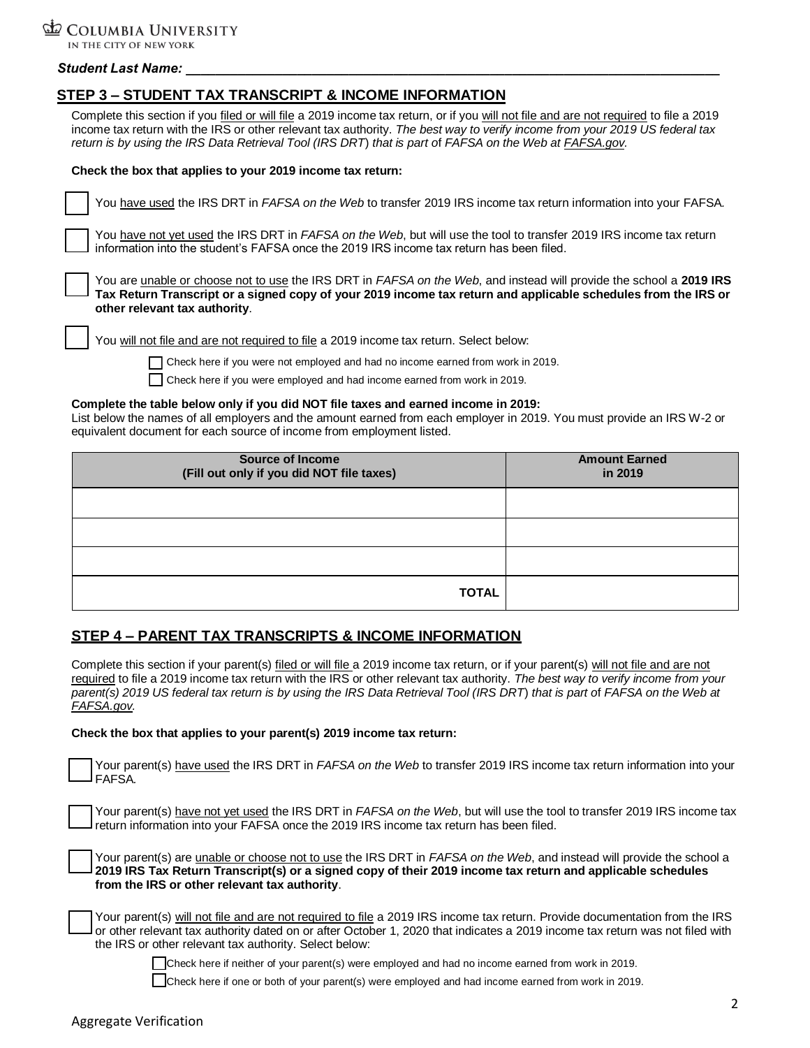

### *Student Last Name: \_\_\_\_\_\_\_\_\_\_\_\_\_\_\_\_\_\_\_\_\_\_\_\_\_\_\_\_\_\_\_\_\_\_\_\_\_\_\_\_\_\_\_\_\_\_\_\_\_\_\_\_\_\_\_\_\_\_\_\_\_\_\_\_\_\_\_\_\_\_\_\_*

## **STEP 3 – STUDENT TAX TRANSCRIPT & INCOME INFORMATION**

Complete this section if you filed or will file a 2019 income tax return, or if you will not file and are not required to file a 2019 income tax return with the IRS or other relevant tax authority. *The best way to verify income from your 2019 US federal tax return is by using the IRS Data Retrieval Tool (IRS DRT*) *that is part o*f *FAFSA on the Web at FAFSA.gov.*

#### **Check the box that applies to your 2019 income tax return:**

| You have used the IRS DRT in FAFSA on the Web to transfer 2019 IRS income tax return information into your FAFSA.                                                                                                                                                              |
|--------------------------------------------------------------------------------------------------------------------------------------------------------------------------------------------------------------------------------------------------------------------------------|
| You have not yet used the IRS DRT in <i>FAFSA on the Web</i> , but will use the tool to transfer 2019 IRS income tax return<br>information into the student's FAFSA once the 2019 IRS income tax return has been filed.                                                        |
| You are unable or choose not to use the IRS DRT in <i>FAFSA on the Web</i> , and instead will provide the school a 2019 IRS<br>Tax Return Transcript or a signed copy of your 2019 income tax return and applicable schedules from the IRS or<br>other relevant tax authority. |
| You will not file and are not required to file a 2019 income tax return. Select below:                                                                                                                                                                                         |
| Check here if you were not employed and had no income earned from work in 2019.                                                                                                                                                                                                |
| Check here if you were employed and had income earned from work in 2019.                                                                                                                                                                                                       |
|                                                                                                                                                                                                                                                                                |

#### **Complete the table below only if you did NOT file taxes and earned income in 2019:**

List below the names of all employers and the amount earned from each employer in 2019. You must provide an IRS W-2 or equivalent document for each source of income from employment listed.

| <b>Source of Income</b><br>(Fill out only if you did NOT file taxes) | <b>Amount Earned</b><br>in 2019 |
|----------------------------------------------------------------------|---------------------------------|
|                                                                      |                                 |
|                                                                      |                                 |
|                                                                      |                                 |
| <b>TOTAL</b>                                                         |                                 |

## **STEP 4 – PARENT TAX TRANSCRIPTS & INCOME INFORMATION**

Complete this section if your parent(s) filed or will file a 2019 income tax return, or if your parent(s) will not file and are not required to file a 2019 income tax return with the IRS or other relevant tax authority. *The best way to verify income from your parent(s) 2019 US federal tax return is by using the IRS Data Retrieval Tool (IRS DRT*) *that is part o*f *FAFSA on the Web at FAFSA.gov.*

### **Check the box that applies to your parent(s) 2019 income tax return:**

Your parent(s) have used the IRS DRT in *FAFSA on the Web* to transfer 2019 IRS income tax return information into your FAFSA*.*

Your parent(s) have not yet used the IRS DRT in *FAFSA on the Web*, but will use the tool to transfer 2019 IRS income tax return information into your FAFSA once the 2019 IRS income tax return has been filed.

| Your parent(s) are unable or choose not to use the IRS DRT in <i>FAFSA on the Web</i> , and instead will provide the school a |
|-------------------------------------------------------------------------------------------------------------------------------|
| 2019 IRS Tax Return Transcript(s) or a signed copy of their 2019 income tax return and applicable schedules                   |
| from the IRS or other relevant tax authority.                                                                                 |

| Your parent(s) will not file and are not required to file a 2019 IRS income tax return. Provide documentation from the IRS   |
|------------------------------------------------------------------------------------------------------------------------------|
| or other relevant tax authority dated on or after October 1, 2020 that indicates a 2019 income tax return was not filed with |
| the IRS or other relevant tax authority. Select below:                                                                       |

Check here if neither of your parent(s) were employed and had no income earned from work in 2019.

Check here if one or both of your parent(s) were employed and had income earned from work in 2019.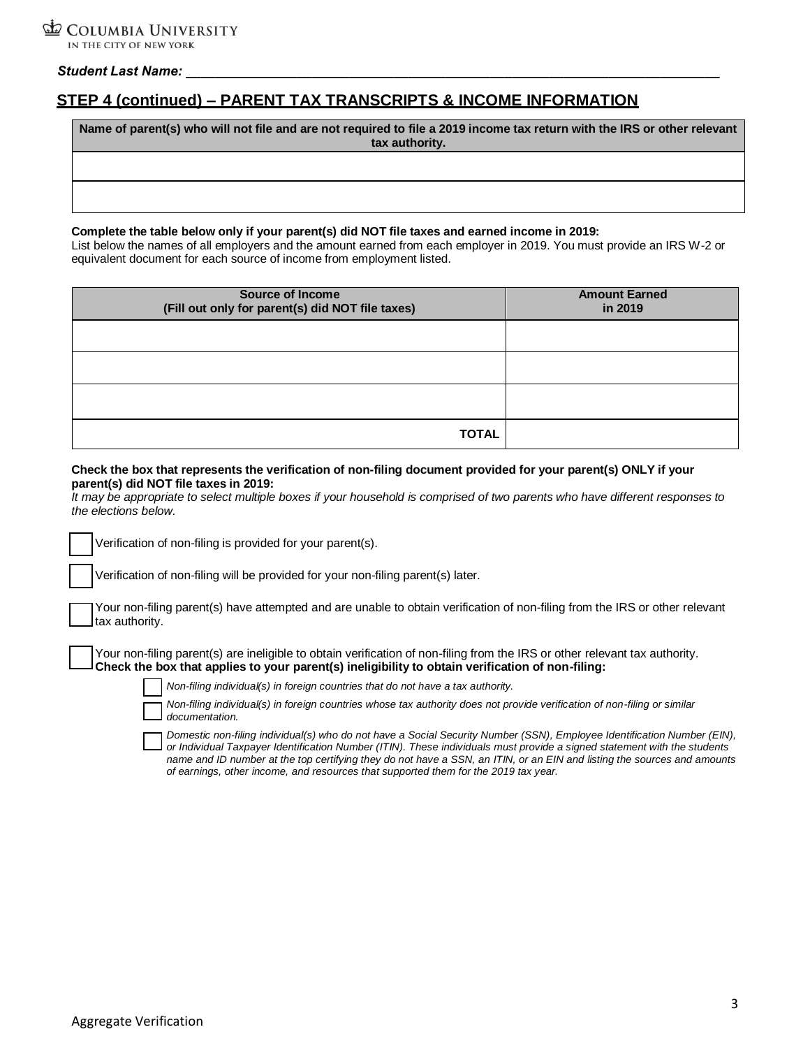### *Student Last Name:*

# **STEP 4 (continued) – PARENT TAX TRANSCRIPTS & INCOME INFORMATION**

**Name of parent(s) who will not file and are not required to file a 2019 income tax return with the IRS or other relevant tax authority.**

### **Complete the table below only if your parent(s) did NOT file taxes and earned income in 2019:**

List below the names of all employers and the amount earned from each employer in 2019. You must provide an IRS W-2 or equivalent document for each source of income from employment listed.

| <b>Source of Income</b><br>(Fill out only for parent(s) did NOT file taxes) | <b>Amount Earned</b><br>in 2019 |
|-----------------------------------------------------------------------------|---------------------------------|
|                                                                             |                                 |
|                                                                             |                                 |
|                                                                             |                                 |
| <b>TOTAL</b>                                                                |                                 |

#### **Check the box that represents the verification of non-filing document provided for your parent(s) ONLY if your parent(s) did NOT file taxes in 2019:**

*It may be appropriate to select multiple boxes if your household is comprised of two parents who have different responses to the elections below.*

Verification of non-filing is provided for your parent(s).

Verification of non-filing will be provided for your non-filing parent(s) later.

|                | Your non-filing parent(s) have attempted and are unable to obtain verification of non-filing from the IRS or other relevant |  |  |  |
|----------------|-----------------------------------------------------------------------------------------------------------------------------|--|--|--|
| tax authority. |                                                                                                                             |  |  |  |

Your non-filing parent(s) are ineligible to obtain verification of non-filing from the IRS or other relevant tax authority. **Check the box that applies to your parent(s) ineligibility to obtain verification of non-filing:**



*Non-filing individual(s) in foreign countries that do not have a tax authority.*

*Non-filing individual(s) in foreign countries whose tax authority does not provide verification of non-filing or similar documentation.*

*Domestic non-filing individual(s) who do not have a Social Security Number (SSN), Employee Identification Number (EIN), or Individual Taxpayer Identification Number (ITIN). These individuals must provide a signed statement with the students name and ID number at the top certifying they do not have a SSN, an ITIN, or an EIN and listing the sources and amounts of earnings, other income, and resources that supported them for the 2019 tax year.*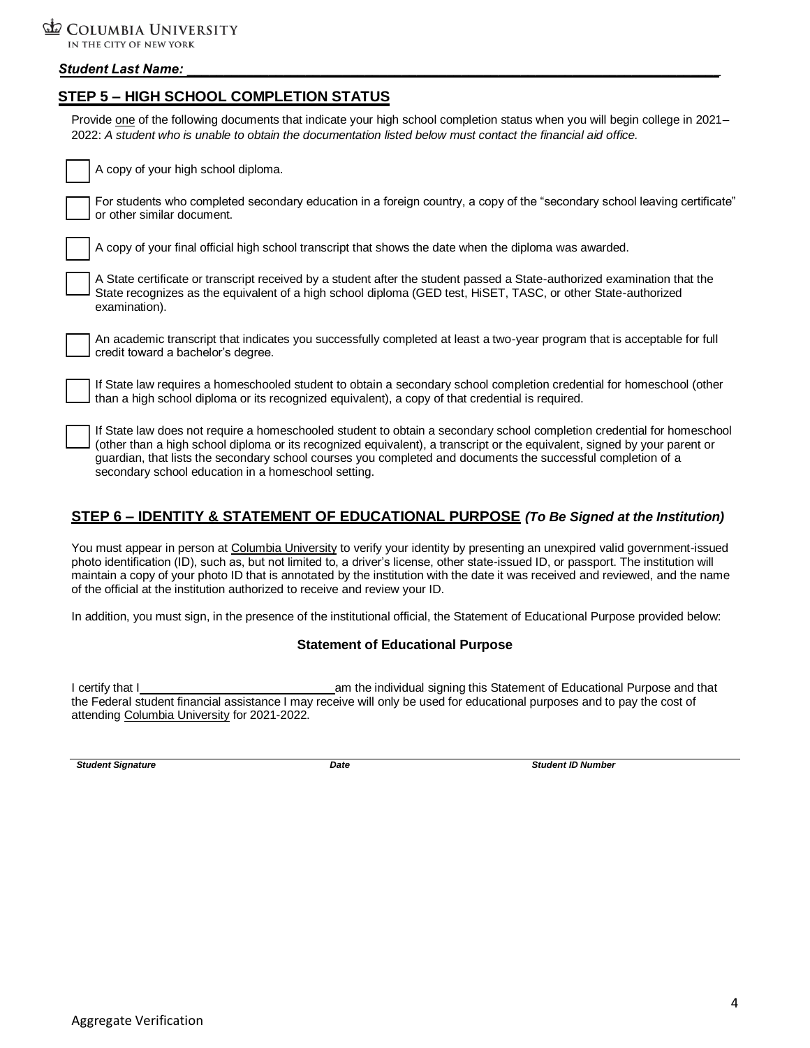### COLUMBIA UNIVERSITY IN THE CITY OF NEW YORK

## *Student Last Name: \_\_\_\_\_\_\_\_\_\_\_\_\_\_\_\_\_\_\_\_\_\_\_\_\_\_\_\_\_\_\_\_\_\_\_\_\_\_\_\_\_\_\_\_\_\_\_\_\_\_\_\_\_\_\_\_\_\_\_\_\_\_\_\_\_\_\_\_\_\_\_\_*

## **STEP 5 – HIGH SCHOOL COMPLETION STATUS**

Provide one of the following documents that indicate your high school completion status when you will begin college in 2021-2022: *A student who is unable to obtain the documentation listed below must contact the financial aid office.* 

| A copy of your high school diploma.                                                                                                                                                                                                                                                                                                                                                                                        |
|----------------------------------------------------------------------------------------------------------------------------------------------------------------------------------------------------------------------------------------------------------------------------------------------------------------------------------------------------------------------------------------------------------------------------|
| For students who completed secondary education in a foreign country, a copy of the "secondary school leaving certificate"<br>or other similar document.                                                                                                                                                                                                                                                                    |
| A copy of your final official high school transcript that shows the date when the diploma was awarded.                                                                                                                                                                                                                                                                                                                     |
| A State certificate or transcript received by a student after the student passed a State-authorized examination that the<br>State recognizes as the equivalent of a high school diploma (GED test, HiSET, TASC, or other State-authorized<br>examination).                                                                                                                                                                 |
| An academic transcript that indicates you successfully completed at least a two-year program that is acceptable for full<br>credit toward a bachelor's degree.                                                                                                                                                                                                                                                             |
| If State law requires a homeschooled student to obtain a secondary school completion credential for homeschool (other<br>than a high school diploma or its recognized equivalent), a copy of that credential is required.                                                                                                                                                                                                  |
| If State law does not require a homeschooled student to obtain a secondary school completion credential for homeschool<br>(other than a high school diploma or its recognized equivalent), a transcript or the equivalent, signed by your parent or<br>guardian, that lists the secondary school courses you completed and documents the successful completion of a<br>secondary school education in a homeschool setting. |

## **STEP 6 – IDENTITY & STATEMENT OF EDUCATIONAL PURPOSE** *(To Be Signed at the Institution)*

You must appear in person at Columbia University to verify your identity by presenting an unexpired valid government-issued photo identification (ID), such as, but not limited to, a driver's license, other state-issued ID, or passport. The institution will maintain a copy of your photo ID that is annotated by the institution with the date it was received and reviewed, and the name of the official at the institution authorized to receive and review your ID.

In addition, you must sign, in the presence of the institutional official, the Statement of Educational Purpose provided below:

### **Statement of Educational Purpose**

I certify that I am the individual signing this Statement of Educational Purpose and that the Federal student financial assistance I may receive will only be used for educational purposes and to pay the cost of attending Columbia University for 2021-2022.

**Student Signature Community Community Community Community Date Student ID Number Student ID Number**